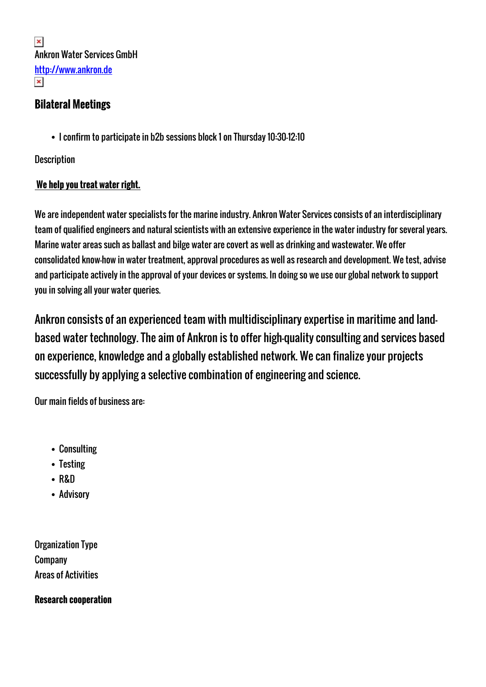$\pmb{\times}$ Ankron Water Services GmbH <http://www.ankron.de>  $\pmb{\times}$ 

# **Bilateral Meetings**

I confirm to participate in b2b sessions block 1 on Thursday 10:30-12:10

### **Description**

## **We help you treat water right.**

We are independent water specialists for the marine industry. Ankron Water Services consists of an interdisciplinary team of qualified engineers and natural scientists with an extensive experience in the water industry for several years. Marine water areas such as ballast and bilge water are covert as well as drinking and wastewater. We offer consolidated know-how in water treatment, approval procedures as well as research and development. We test, advise and participate actively in the approval of your devices or systems. In doing so we use our global network to support you in solving all your water queries.

Ankron consists of an experienced team with multidisciplinary expertise in maritime and landbased water technology. The aim of Ankron is to offer high-quality consulting and services based on experience, knowledge and a globally established network. We can finalize your projects successfully by applying a selective combination of engineering and science.

Our main fields of business are:

- Consulting
- Testing
- R&D
- Advisory

Organization Type Company Areas of Activities

**Research cooperation**